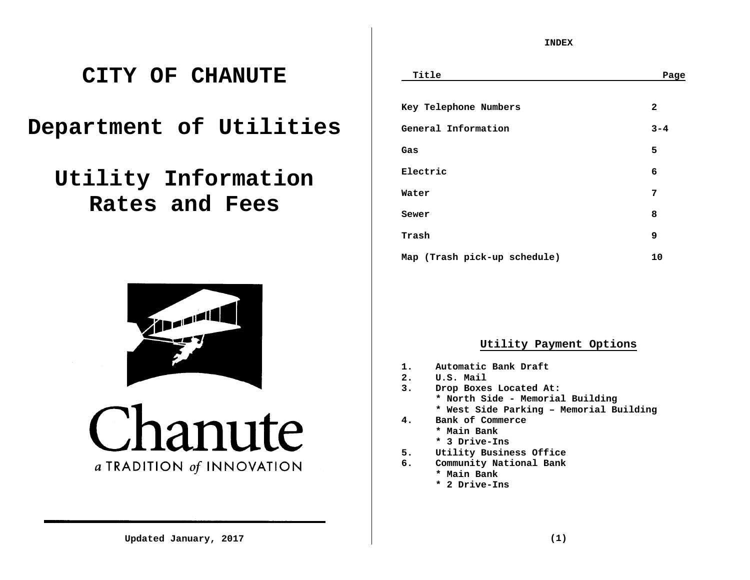# **CITY OF CHANUTE**

**Department of Utilities** 

**Utility Information Rates and Fees**



anute  $\overline{ }$ a TRADITION of INNOVATION

**INDEX** 

| Title                        | Page         |
|------------------------------|--------------|
|                              |              |
| Key Telephone Numbers        | $\mathbf{2}$ |
| General Information          | $3 - 4$      |
| Gas                          | 5            |
| Electric                     | 6            |
| Water                        | 7            |
| Sewer                        | 8            |
| Trash                        | 9            |
| Map (Trash pick-up schedule) | 10           |

# **Utility Payment Options**

- **1. Automatic Bank Draft**
- **2. U.S. Mail**
- **3. Drop Boxes Located At:** 
	- **\* North Side Memorial Building**
	- **\* West Side Parking Memorial Building**
- **4. Bank of Commerce** 
	- **\* Main Bank** 
		- **\* 3 Drive-Ins**
- **5. Utility Business Office**
- **6. Community National Bank** 
	- **\* Main Bank**
	- **\* 2 Drive-Ins**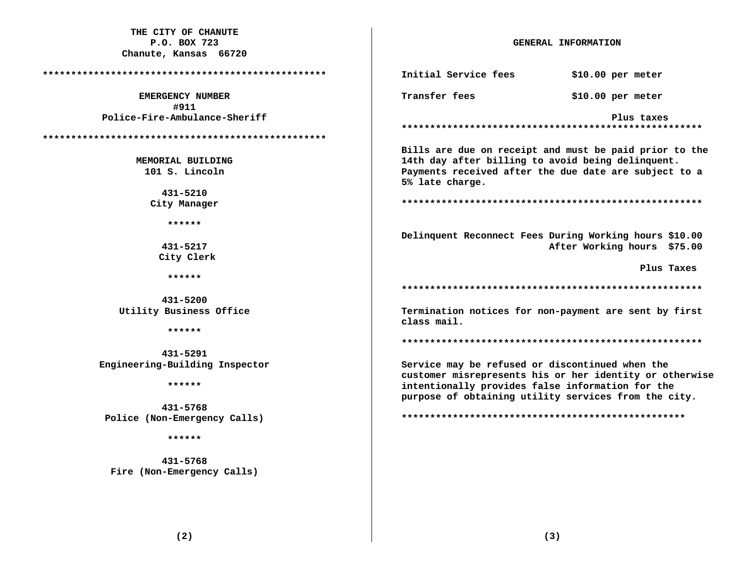| THE CITY OF CHANUTE             |                                                   |                                                         |
|---------------------------------|---------------------------------------------------|---------------------------------------------------------|
| P.O. BOX 723                    | GENERAL INFORMATION                               |                                                         |
| Chanute, Kansas 66720           |                                                   |                                                         |
|                                 | Initial Service fees                              | $$10.00$ per meter                                      |
| <b>EMERGENCY NUMBER</b><br>#911 | Transfer fees                                     | $$10.00$ per meter                                      |
| Police-Fire-Ambulance-Sheriff   |                                                   | Plus taxes                                              |
|                                 |                                                   |                                                         |
|                                 |                                                   |                                                         |
|                                 |                                                   | Bills are due on receipt and must be paid prior to the  |
| MEMORIAL BUILDING               | 14th day after billing to avoid being delinquent. |                                                         |
| 101 S. Lincoln                  |                                                   | Payments received after the due date are subject to a   |
|                                 | 5% late charge.                                   |                                                         |
| 431-5210                        |                                                   |                                                         |
| City Manager                    |                                                   |                                                         |
|                                 |                                                   |                                                         |
| ******                          |                                                   |                                                         |
|                                 |                                                   | Delinquent Reconnect Fees During Working hours \$10.00  |
| 431-5217                        |                                                   | After Working hours \$75.00                             |
| City Clerk                      |                                                   |                                                         |
|                                 |                                                   | Plus Taxes                                              |
| ******                          |                                                   |                                                         |
|                                 |                                                   |                                                         |
| 431-5200                        |                                                   |                                                         |
| Utility Business Office         | class mail.                                       | Termination notices for non-payment are sent by first   |
| ******                          |                                                   |                                                         |
|                                 |                                                   |                                                         |
| 431-5291                        |                                                   |                                                         |
| Engineering-Building Inspector  | Service may be refused or discontinued when the   |                                                         |
| ******                          |                                                   | customer misrepresents his or her identity or otherwise |
|                                 | intentionally provides false information for the  |                                                         |
| 431-5768                        |                                                   | purpose of obtaining utility services from the city.    |
| Police (Non-Emergency Calls)    |                                                   |                                                         |
|                                 |                                                   |                                                         |
| ******                          |                                                   |                                                         |
|                                 |                                                   |                                                         |
| 431-5768                        |                                                   |                                                         |
| Fire (Non-Emergency Calls)      |                                                   |                                                         |
|                                 |                                                   |                                                         |
|                                 |                                                   |                                                         |
|                                 |                                                   |                                                         |
|                                 |                                                   |                                                         |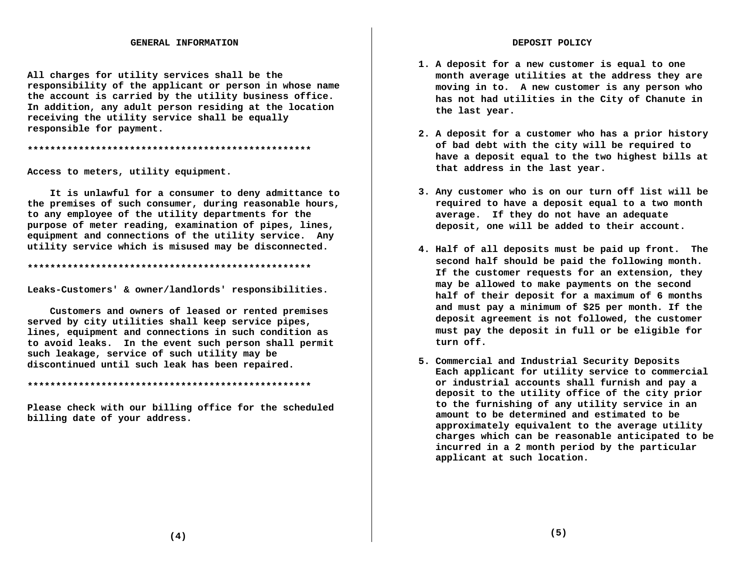All charges for utility services shall be the responsibility of the applicant or person in whose name the account is carried by the utility business office. In addition, any adult person residing at the location receiving the utility service shall be equally responsible for payment.

Access to meters, utility equipment.

It is unlawful for a consumer to deny admittance to the premises of such consumer, during reasonable hours, to any employee of the utility departments for the purpose of meter reading, examination of pipes, lines, equipment and connections of the utility service. Any utility service which is misused may be disconnected.

Leaks-Customers' & owner/landlords' responsibilities.

Customers and owners of leased or rented premises served by city utilities shall keep service pipes, lines, equipment and connections in such condition as to avoid leaks. In the event such person shall permit such leakage, service of such utility may be discontinued until such leak has been repaired.

Please check with our billing office for the scheduled billing date of your address.

- 1. A deposit for a new customer is equal to one month average utilities at the address they are moving in to. A new customer is any person who has not had utilities in the City of Chanute in the last year.
- 2. A deposit for a customer who has a prior history of bad debt with the city will be required to have a deposit equal to the two highest bills at that address in the last year.
- 3. Any customer who is on our turn off list will be required to have a deposit equal to a two month average. If they do not have an adequate deposit, one will be added to their account.
- 4. Half of all deposits must be paid up front. The second half should be paid the following month. If the customer requests for an extension, they may be allowed to make payments on the second half of their deposit for a maximum of 6 months and must pay a minimum of \$25 per month. If the deposit agreement is not followed, the customer must pay the deposit in full or be eligible for turn off.
- 5. Commercial and Industrial Security Deposits Each applicant for utility service to commercial or industrial accounts shall furnish and pay a deposit to the utility office of the city prior to the furnishing of any utility service in an amount to be determined and estimated to be approximately equivalent to the average utility charges which can be reasonable anticipated to be incurred in a 2 month period by the particular applicant at such location.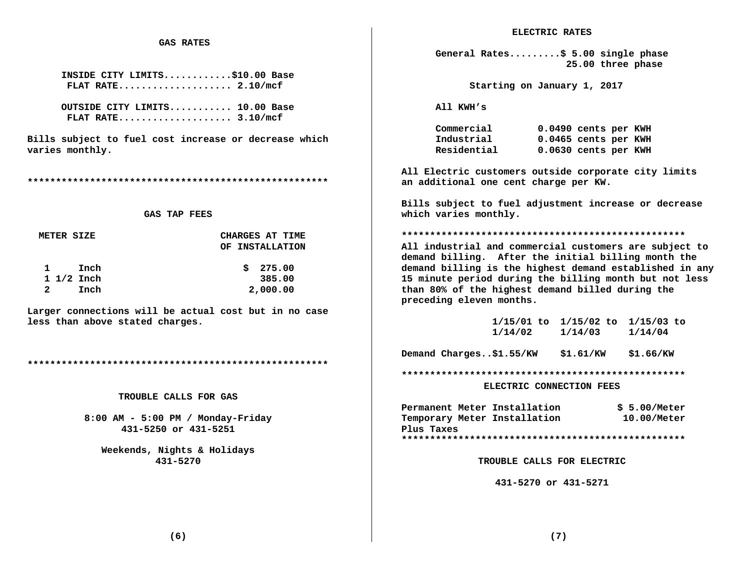## **GAS RATES**

**INSIDE CITY LIMITS............\$10.00 Base FLAT RATE.................... 2.10/mcf** 

**OUTSIDE CITY LIMITS........... 10.00 Base FLAT RATE.................... 3.10/mcf** 

**Bills subject to fuel cost increase or decrease which varies monthly.** 

**\*\*\*\*\*\*\*\*\*\*\*\*\*\*\*\*\*\*\*\*\*\*\*\*\*\*\*\*\*\*\*\*\*\*\*\*\*\*\*\*\*\*\*\*\*\*\*\*\*\*\*\*\*** 

### **GAS TAP FEES**

| METER SIZE           | CHARGES AT TIME |
|----------------------|-----------------|
|                      | OF INSTALLATION |
| $\mathbf 1$<br>Inch  | \$275.00        |
| $1 \frac{1}{2}$ Inch | 385.00          |
| Inch                 | 2,000.00        |

**Larger connections will be actual cost but in no case less than above stated charges.** 

**\*\*\*\*\*\*\*\*\*\*\*\*\*\*\*\*\*\*\*\*\*\*\*\*\*\*\*\*\*\*\*\*\*\*\*\*\*\*\*\*\*\*\*\*\*\*\*\*\*\*\*\*\*** 

 **TROUBLE CALLS FOR GAS** 

 **8:00 AM - 5:00 PM / Monday-Friday 431-5250 or 431-5251** 

 **Weekends, Nights & Holidays 431-5270** 

**General Rates.........\$ 5.00 single phase 25.00 three phase** 

 **Starting on January 1, 2017** 

**All KWH's** 

 **Commercial 0.0490 cents per KWH Industrial 0.0465 cents per KWH Residential 0.0630 cents per KWH** 

**All Electric customers outside corporate city limits an additional one cent charge per KW.** 

**Bills subject to fuel adjustment increase or decrease which varies monthly.** 

**\*\*\*\*\*\*\*\*\*\*\*\*\*\*\*\*\*\*\*\*\*\*\*\*\*\*\*\*\*\*\*\*\*\*\*\*\*\*\*\*\*\*\*\*\*\*\*\*\*\*** 

**All industrial and commercial customers are subject to demand billing. After the initial billing month the demand billing is the highest demand established in any 15 minute period during the billing month but not less than 80% of the highest demand billed during the preceding eleven months.** 

|         | $1/15/01$ to $1/15/02$ to $1/15/03$ to |         |
|---------|----------------------------------------|---------|
| 1/14/02 | 1/14/03                                | 1/14/04 |

**Demand Charges..\$1.55/KW \$1.61/KW \$1.66/KW** 

**\*\*\*\*\*\*\*\*\*\*\*\*\*\*\*\*\*\*\*\*\*\*\*\*\*\*\*\*\*\*\*\*\*\*\*\*\*\*\*\*\*\*\*\*\*\*\*\*\*\*** 

 **ELECTRIC CONNECTION FEES** 

**Permanent Meter Installation \$ 5.00/Meter Temporary Meter Installation 10.00/Meter Plus Taxes** 

**\*\*\*\*\*\*\*\*\*\*\*\*\*\*\*\*\*\*\*\*\*\*\*\*\*\*\*\*\*\*\*\*\*\*\*\*\*\*\*\*\*\*\*\*\*\*\*\*\*\*** 

 **TROUBLE CALLS FOR ELECTRIC** 

 **431-5270 or 431-5271** 

 **(6)**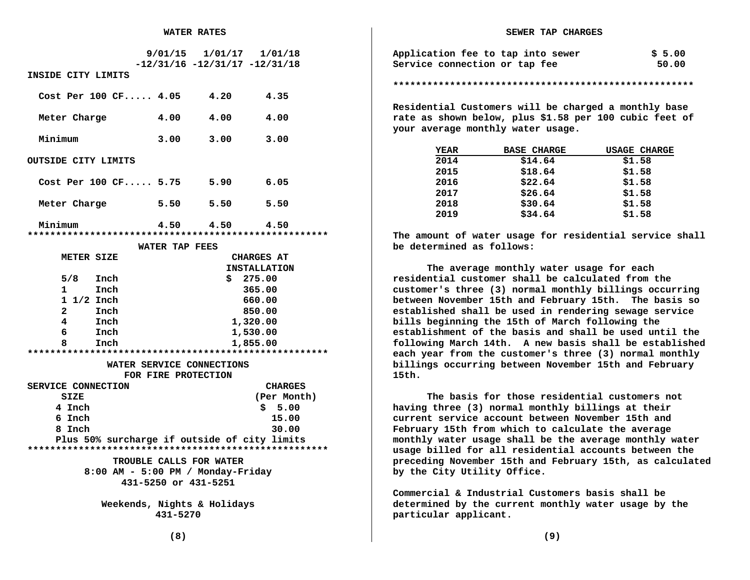|                                              |                | $9/01/15$ $1/01/17$ $1/01/18$       |                   |
|----------------------------------------------|----------------|-------------------------------------|-------------------|
| INSIDE CITY LIMITS                           |                | $-12/31/16$ $-12/31/17$ $-12/31/18$ |                   |
| Cost Per 100 $CF 4.05 4.20$                  |                |                                     | 4.35              |
| Meter Charge                                 | 4.00           | 4.00                                | 4.00              |
| Minimum                                      | 3.00           | 3.00                                | 3.00              |
| <b>OUTSIDE CITY LIMITS</b>                   |                |                                     |                   |
| Cost Per 100 CF 5.75 5.90                    |                |                                     | 6.05              |
| Meter Charge                                 | 5.50           | 5.50                                | 5.50              |
| Minimum                                      |                | $4.50 \t 4.50 \t 4.50$              |                   |
|                                              | WATER TAP FEES |                                     |                   |
| METER SIZE                                   |                |                                     | <b>CHARGES AT</b> |
| <b>INSTALLATION</b>                          |                |                                     |                   |
| $5/8$ Inch                                   |                | \$275.00                            |                   |
| $\mathbf{1}$<br>Inch                         |                |                                     | 365.00            |
| $1 \frac{1}{2}$ Inch                         | 660.00         |                                     |                   |
| $\mathbf{2}$<br>Inch                         | 850.00         |                                     |                   |
| 4<br>Inch                                    | 1,320.00       |                                     |                   |
| 6.<br>Inch                                   | 1,530.00       |                                     |                   |
| Inch<br>8                                    | 1,855.00       |                                     |                   |
|                                              |                |                                     |                   |
|                                              |                | WATER SERVICE CONNECTIONS           |                   |
| FOR FIRE PROTECTION                          |                |                                     |                   |
| SERVICE CONNECTION                           |                |                                     | <b>CHARGES</b>    |
| <b>SIZE</b>                                  |                |                                     | (Per Month)       |
| 4 Inch                                       |                |                                     | \$5.00            |
| 6 Inch                                       |                |                                     | 15.00             |
| 8 Inch                                       |                |                                     | 30.00             |
| Plus 50% surcharge if outside of city limits |                |                                     |                   |
| TROUBLE CALLS FOR WATER                      |                |                                     |                   |
| $8:00$ AM - 5:00 PM / Monday-Friday          |                |                                     |                   |
| 431-5250 or 431-5251                         |                |                                     |                   |
|                                              |                |                                     |                   |
| Weekends, Nights & Holidays                  |                |                                     |                   |

 **<sup>431-5270</sup>** 

| Application fee to tap into sewer | \$5.00 |
|-----------------------------------|--------|
| Service connection or tap fee     | 50.00  |

**\*\*\*\*\*\*\*\*\*\*\*\*\*\*\*\*\*\*\*\*\*\*\*\*\*\*\*\*\*\*\*\*\*\*\*\*\*\*\*\*\*\*\*\*\*\*\*\*\*\*\*\*\*** 

**Residential Customers will be charged a monthly base rate as shown below, plus \$1.58 per 100 cubic feet of your average monthly water usage.** 

| <b>YEAR</b> | <b>BASE CHARGE</b> | <b>USAGE CHARGE</b> |
|-------------|--------------------|---------------------|
| 2014        | \$14.64            | \$1.58              |
| 2015        | \$18.64            | \$1.58              |
| 2016        | \$22.64            | \$1.58              |
| 2017        | \$26.64            | \$1.58              |
| 2018        | \$30.64            | \$1.58              |
| 2019        | \$34.64            | \$1.58              |

**The amount of water usage for residential service shall be determined as follows:** 

**The average monthly water usage for each residential customer shall be calculated from the customer's three (3) normal monthly billings occurring between November 15th and February 15th. The basis so established shall be used in rendering sewage service bills beginning the 15th of March following the establishment of the basis and shall be used until the following March 14th. A new basis shall be established each year from the customer's three (3) normal monthly billings occurring between November 15th and February 15th.** 

**The basis for those residential customers not having three (3) normal monthly billings at their current service account between November 15th and February 15th from which to calculate the average monthly water usage shall be the average monthly water usage billed for all residential accounts between the preceding November 15th and February 15th, as calculated by the City Utility Office.** 

**Commercial & Industrial Customers basis shall be determined by the current monthly water usage by the particular applicant.**